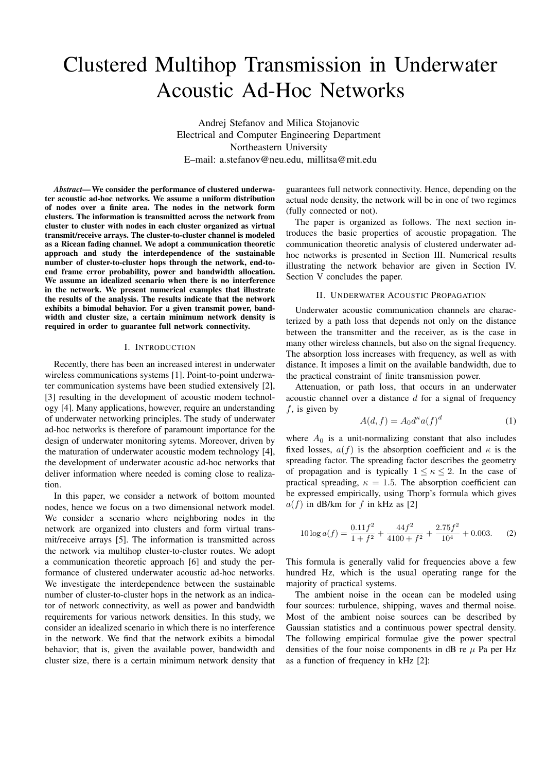# Clustered Multihop Transmission in Underwater Acoustic Ad-Hoc Networks

Andrej Stefanov and Milica Stojanovic Electrical and Computer Engineering Department Northeastern University E–mail: a.stefanov@neu.edu, millitsa@mit.edu

*Abstract*—We consider the performance of clustered underwater acoustic ad-hoc networks. We assume a uniform distribution of nodes over a finite area. The nodes in the network form clusters. The information is transmitted across the network from cluster to cluster with nodes in each cluster organized as virtual transmit/receive arrays. The cluster-to-cluster channel is modeled as a Ricean fading channel. We adopt a communication theoretic approach and study the interdependence of the sustainable number of cluster-to-cluster hops through the network, end-toend frame error probability, power and bandwidth allocation. We assume an idealized scenario when there is no interference in the network. We present numerical examples that illustrate the results of the analysis. The results indicate that the network exhibits a bimodal behavior. For a given transmit power, bandwidth and cluster size, a certain minimum network density is required in order to guarantee full network connectivity.

# I. INTRODUCTION

Recently, there has been an increased interest in underwater wireless communications systems [1]. Point-to-point underwater communication systems have been studied extensively [2], [3] resulting in the development of acoustic modem technology [4]. Many applications, however, require an understanding of underwater networking principles. The study of underwater ad-hoc networks is therefore of paramount importance for the design of underwater monitoring sytems. Moreover, driven by the maturation of underwater acoustic modem technology [4], the development of underwater acoustic ad-hoc networks that deliver information where needed is coming close to realization.

In this paper, we consider a network of bottom mounted nodes, hence we focus on a two dimensional network model. We consider a scenario where neighboring nodes in the network are organized into clusters and form virtual transmit/receive arrays [5]. The information is transmitted across the network via multihop cluster-to-cluster routes. We adopt a communication theoretic approach [6] and study the performance of clustered underwater acoustic ad-hoc networks. We investigate the interdependence between the sustainable number of cluster-to-cluster hops in the network as an indicator of network connectivity, as well as power and bandwidth requirements for various network densities. In this study, we consider an idealized scenario in which there is no interference in the network. We find that the network exibits a bimodal behavior; that is, given the available power, bandwidth and cluster size, there is a certain minimum network density that guarantees full network connectivity. Hence, depending on the actual node density, the network will be in one of two regimes (fully connected or not).

The paper is organized as follows. The next section introduces the basic properties of acoustic propagation. The communication theoretic analysis of clustered underwater adhoc networks is presented in Section III. Numerical results illustrating the network behavior are given in Section IV. Section V concludes the paper.

### II. UNDERWATER ACOUSTIC PROPAGATION

Underwater acoustic communication channels are characterized by a path loss that depends not only on the distance between the transmitter and the receiver, as is the case in many other wireless channels, but also on the signal frequency. The absorption loss increases with frequency, as well as with distance. It imposes a limit on the available bandwidth, due to the practical constraint of finite transmission power.

Attenuation, or path loss, that occurs in an underwater acoustic channel over a distance *d* for a signal of frequency *f*, is given by

$$
A(d, f) = A_0 d^{\kappa} a(f)^d \tag{1}
$$

where  $A_0$  is a unit-normalizing constant that also includes fixed losses,  $a(f)$  is the absorption coefficient and  $\kappa$  is the spreading factor. The spreading factor describes the geometry of propagation and is typically  $1 \leq \kappa \leq 2$ . In the case of practical spreading,  $\kappa = 1.5$ . The absorption coefficient can be expressed empirically, using Thorp's formula which gives  $a(f)$  in dB/km for f in kHz as [2]

$$
10\log a(f) = \frac{0.11f^2}{1+f^2} + \frac{44f^2}{4100+f^2} + \frac{2.75f^2}{10^4} + 0.003.
$$
 (2)

This formula is generally valid for frequencies above a few hundred Hz, which is the usual operating range for the majority of practical systems.

The ambient noise in the ocean can be modeled using four sources: turbulence, shipping, waves and thermal noise. Most of the ambient noise sources can be described by Gaussian statistics and a continuous power spectral density. The following empirical formulae give the power spectral densities of the four noise components in dB re  $\mu$  Pa per Hz as a function of frequency in kHz [2]: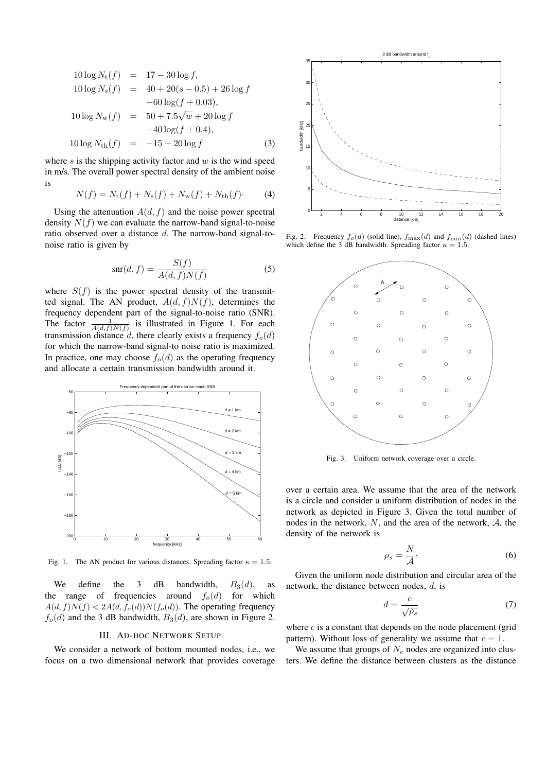$$
10 \log N_{\rm t}(f) = 17 - 30 \log f,
$$
  
\n
$$
10 \log N_{\rm s}(f) = 40 + 20(s - 0.5) + 26 \log f
$$
  
\n
$$
-60 \log(f + 0.03),
$$
  
\n
$$
10 \log N_{\rm w}(f) = 50 + 7.5\sqrt{w} + 20 \log f
$$
  
\n
$$
-40 \log(f + 0.4),
$$
  
\n
$$
10 \log N_{\rm th}(f) = -15 + 20 \log f
$$
 (3)

where *s* is the shipping activity factor and *w* is the wind speed in m/s. The overall power spectral density of the ambient noise is

$$
N(f) = N_{\rm t}(f) + N_{\rm s}(f) + N_{\rm w}(f) + N_{\rm th}(f). \tag{4}
$$

Using the attenuation  $A(d, f)$  and the noise power spectral density  $N(f)$  we can evaluate the narrow-band signal-to-noise ratio observed over a distance *d*. The narrow-band signal-tonoise ratio is given by

$$
snr(d, f) = \frac{S(f)}{A(d, f)N(f)}
$$
\n(5)

where  $S(f)$  is the power spectral density of the transmitted signal. The AN product,  $A(d, f)N(f)$ , determines the frequency dependent part of the signal-to-noise ratio (SNR). The factor  $\frac{1}{A(d,f)N(f)}$  is illustrated in Figure 1. For each transmission distance *d*, there clearly exists a frequency  $f_o(d)$ for which the narrow-band signal-to noise ratio is maximized. In practice, one may choose  $f_o(d)$  as the operating frequency and allocate a certain transmission bandwidth around it.



Fig. 1. The AN product for various distances. Spreading factor  $\kappa = 1.5$ .

We define the 3 dB bandwidth,  $B_3(d)$ , as the range of frequencies around  $f_o(d)$  for which  $A(d, f)N(f) < 2A(d, f_o(d))N(f_o(d))$ . The operating frequency  $f<sub>o</sub>(d)$  and the 3 dB bandwidth,  $B<sub>3</sub>(d)$ , are shown in Figure 2.

#### III. AD-HOC NETWORK SETUP

We consider a network of bottom mounted nodes, i.e., we focus on a two dimensional network that provides coverage



Fig. 2. Frequency  $f_o(d)$  (solid line),  $f_{\text{max}}(d)$  and  $f_{\text{min}}(d)$  (dashed lines) which define the 3 dB bandwidth. Spreading factor  $\kappa = 1.5$ .



Fig. 3. Uniform network coverage over a circle.

over a certain area. We assume that the area of the network is a circle and consider a uniform distribution of nodes in the network as depicted in Figure 3. Given the total number of nodes in the network, *N*, and the area of the network, *A*, the density of the network is

$$
\rho_s = \frac{N}{\mathcal{A}}.\tag{6}
$$

Given the uniform node distribution and circular area of the network, the distance between nodes, *d*, is

$$
d = \frac{c}{\sqrt{\rho_s}}\tag{7}
$$

where  $c$  is a constant that depends on the node placement (grid pattern). Without loss of generality we assume that  $c = 1$ .

We assume that groups of  $N_c$  nodes are organized into clusters. We define the distance between clusters as the distance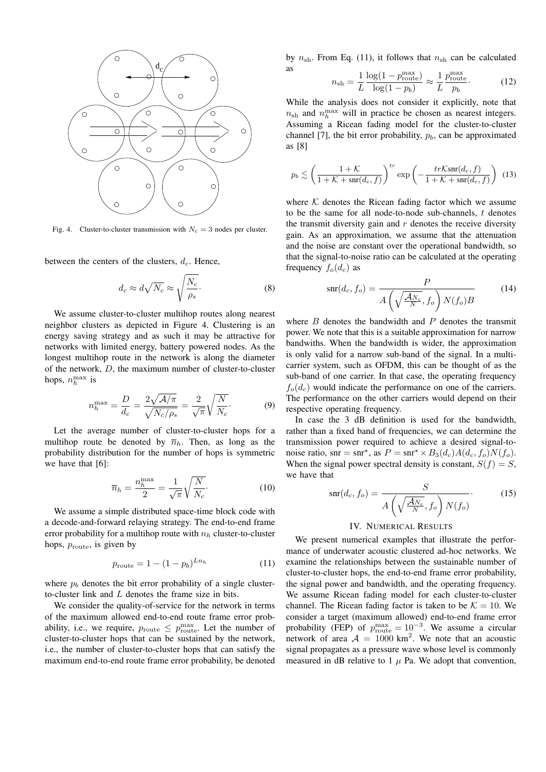

Fig. 4. Cluster-to-cluster transmission with  $N_c = 3$  nodes per cluster.

between the centers of the clusters,  $d_c$ . Hence,

$$
d_c \approx d\sqrt{N_c} \approx \sqrt{\frac{N_c}{\rho_s}}.\tag{8}
$$

We assume cluster-to-cluster multihop routes along nearest neighbor clusters as depicted in Figure 4. Clustering is an energy saving strategy and as such it may be attractive for networks with limited energy, battery powered nodes. As the longest multihop route in the network is along the diameter of the network, *D*, the maximum number of cluster-to-cluster hops,  $n_h^{\text{max}}$  is

$$
n_h^{\text{max}} = \frac{D}{d_c} = \frac{2\sqrt{A/\pi}}{\sqrt{N_c/\rho_s}} = \frac{2}{\sqrt{\pi}}\sqrt{\frac{N}{N_c}}.\tag{9}
$$

Let the average number of cluster-to-cluster hops for a multihop route be denoted by  $\overline{n}_h$ . Then, as long as the probability distribution for the number of hops is symmetric we have that [6]:

$$
\overline{n}_h = \frac{n_h^{\text{max}}}{2} = \frac{1}{\sqrt{\pi}} \sqrt{\frac{N}{N_c}}.
$$
\n(10)

We assume a simple distributed space-time block code with a decode-and-forward relaying strategy. The end-to-end frame error probability for a multihop route with *n<sup>h</sup>* cluster-to-cluster hops,  $p_{\text{route}}$ , is given by

$$
p_{\text{route}} = 1 - (1 - p_b)^{Ln_h} \tag{11}
$$

where  $p_b$  denotes the bit error probability of a single clusterto-cluster link and *L* denotes the frame size in bits.

We consider the quality-of-service for the network in terms of the maximum allowed end-to-end route frame error probability, i.e., we require,  $p_{\text{route}} \leq p_{\text{route}}^{\max}$ . Let the number of cluster-to-cluster hops that can be sustained by the network, i.e., the number of cluster-to-cluster hops that can satisfy the maximum end-to-end route frame error probability, be denoted

by  $n_{\rm sh}$ . From Eq. (11), it follows that  $n_{\rm sh}$  can be calculated as

$$
n_{\rm sh} = \frac{1}{L} \frac{\log(1 - p_{\rm route}^{\rm max})}{\log(1 - p_b)} \approx \frac{1}{L} \frac{p_{\rm route}^{\rm max}}{p_b}.
$$
 (12)

While the analysis does not consider it explicitly, note that  $n_{\rm sh}$  and  $n_h^{\rm max}$  will in practice be chosen as nearest integers. Assuming a Ricean fading model for the cluster-to-cluster channel [7], the bit error probability,  $p<sub>b</sub>$ , can be approximated as [8]

$$
p_b \lesssim \left(\frac{1+\mathcal{K}}{1+\mathcal{K}+\operatorname{snr}(d_c,f)}\right)^{tr} \exp\left(-\frac{tr\mathcal{K}\operatorname{snr}(d_c,f)}{1+\mathcal{K}+\operatorname{snr}(d_c,f)}\right) \tag{13}
$$

where  $K$  denotes the Ricean fading factor which we assume to be the same for all node-to-node sub-channels, *t* denotes the transmit diversity gain and *r* denotes the receive diversity gain. As an approximation, we assume that the attenuation and the noise are constant over the operational bandwidth, so that the signal-to-noise ratio can be calculated at the operating frequency  $f_o(d_c)$  as

$$
\operatorname{snr}(d_c, f_o) = \frac{P}{A\left(\sqrt{\frac{\mathcal{A}_{N_c}}{N}}, f_o\right) N(f_o)B} \tag{14}
$$

where *B* denotes the bandwidth and *P* denotes the transmit power. We note that this is a suitable approximation for narrow bandwiths. When the bandwidth is wider, the approximation is only valid for a narrow sub-band of the signal. In a multicarrier system, such as OFDM, this can be thought of as the sub-band of one carrier. In that case, the operating frequency  $f_o(d_c)$  would indicate the performance on one of the carriers. The performance on the other carriers would depend on their respective operating frequency.

In case the 3 dB definition is used for the bandwidth, rather than a fixed band of frequencies, we can determine the transmission power required to achieve a desired signal-tonoise ratio, snr = snr<sup>\*</sup>, as  $P = \text{snr}^* \times B_3(d_c)A(d_c, f_o)N(f_o)$ . When the signal power spectral density is constant,  $S(f) = S$ , we have that

$$
\operatorname{snr}(d_c, f_o) = \frac{S}{A\left(\sqrt{\frac{\mathcal{A}_{N_c}}{N}}, f_o\right) N(f_o)}.
$$
 (15)

# IV. NUMERICAL RESULTS

We present numerical examples that illustrate the performance of underwater acoustic clustered ad-hoc networks. We examine the relationships between the sustainable number of cluster-to-cluster hops, the end-to-end frame error probability, the signal power and bandwidth, and the operating frequency. We assume Ricean fading model for each cluster-to-cluster channel. The Ricean fading factor is taken to be  $K = 10$ . We consider a target (maximum allowed) end-to-end frame error probability (FEP) of  $p_{\text{route}}^{\text{max}} = 10^{-3}$ . We assume a circular network of area  $A = 1000 \text{ km}^2$ . We note that an acoustic signal propagates as a pressure wave whose level is commonly measured in dB relative to  $1 \mu$  Pa. We adopt that convention,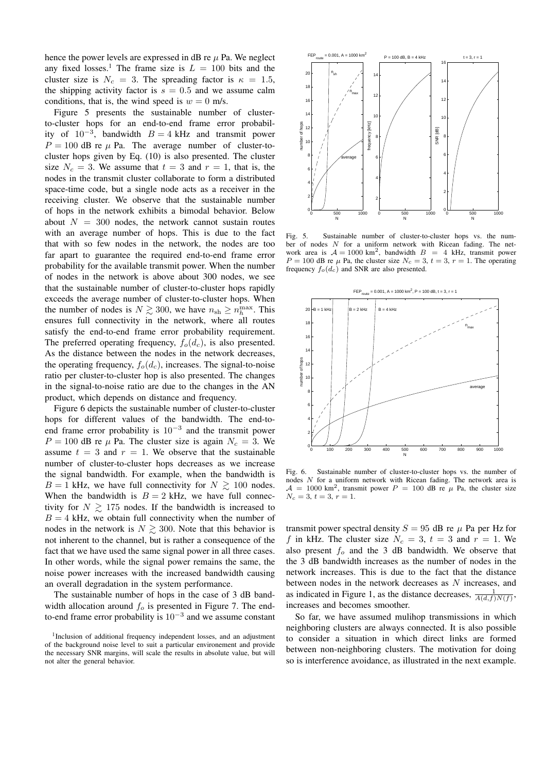hence the power levels are expressed in dB re  $\mu$  Pa. We neglect any fixed losses.<sup>1</sup> The frame size is  $L = 100$  bits and the cluster size is  $N_c = 3$ . The spreading factor is  $\kappa = 1.5$ , the shipping activity factor is  $s = 0.5$  and we assume calm conditions, that is, the wind speed is  $w = 0$  m/s.

Figure 5 presents the sustainable number of clusterto-cluster hops for an end-to-end frame error probability of  $10^{-3}$ , bandwidth  $B = 4$  kHz and transmit power  $P = 100$  dB re  $\mu$  Pa. The average number of cluster-tocluster hops given by Eq. (10) is also presented. The cluster size  $N_c = 3$ . We assume that  $t = 3$  and  $r = 1$ , that is, the nodes in the transmit cluster collaborate to form a distributed space-time code, but a single node acts as a receiver in the receiving cluster. We observe that the sustainable number of hops in the network exhibits a bimodal behavior. Below about  $N = 300$  nodes, the network cannot sustain routes with an average number of hops. This is due to the fact that with so few nodes in the network, the nodes are too far apart to guarantee the required end-to-end frame error probability for the available transmit power. When the number of nodes in the network is above about 300 nodes, we see that the sustainable number of cluster-to-cluster hops rapidly exceeds the average number of cluster-to-cluster hops. When the number of nodes is  $N \gtrsim 300$ , we have  $n_{\text{sh}} \ge n_h^{\text{max}}$ . This ensures full connectivity in the network, where all routes satisfy the end-to-end frame error probability requirement. The preferred operating frequency,  $f_o(d_c)$ , is also presented. As the distance between the nodes in the network decreases, the operating frequency,  $f_o(d_c)$ , increases. The signal-to-noise ratio per cluster-to-cluster hop is also presented. The changes in the signal-to-noise ratio are due to the changes in the AN product, which depends on distance and frequency.

Figure 6 depicts the sustainable number of cluster-to-cluster hops for different values of the bandwidth. The end-toend frame error probability is 10*−*<sup>3</sup> and the transmit power  $P = 100$  dB re  $\mu$  Pa. The cluster size is again  $N_c = 3$ . We assume  $t = 3$  and  $r = 1$ . We observe that the sustainable number of cluster-to-cluster hops decreases as we increase the signal bandwidth. For example, when the bandwidth is  $B = 1$  kHz, we have full connectivity for  $N \ge 100$  nodes. When the bandwidth is  $B = 2$  kHz, we have full connectivity for  $N \geq 175$  nodes. If the bandwidth is increased to  $B = 4$  kHz, we obtain full connectivity when the number of nodes in the network is  $N \gtrsim 300$ . Note that this behavior is not inherent to the channel, but is rather a consequence of the fact that we have used the same signal power in all three cases. In other words, while the signal power remains the same, the noise power increases with the increased bandwidth causing an overall degradation in the system performance.

The sustainable number of hops in the case of 3 dB bandwidth allocation around *f<sup>o</sup>* is presented in Figure 7. The endto-end frame error probability is 10*−*<sup>3</sup> and we assume constant



Fig. 5. Sustainable number of cluster-to-cluster hops vs. the number of nodes *N* for a uniform network with Ricean fading. The network area is  $A = 1000 \text{ km}^2$ , bandwidth  $B = 4 \text{ kHz}$ , transmit power  $P = 100$  dB re  $\mu$  Pa, the cluster size  $N_c = 3$ ,  $t = 3$ ,  $r = 1$ . The operating frequency  $f_o(d_c)$  and SNR are also presented.



Fig. 6. Sustainable number of cluster-to-cluster hops vs. the number of nodes *N* for a uniform network with Ricean fading. The network area is  $A = 1000$  km<sup>2</sup>, transmit power  $P = 100$  dB re  $\mu$  Pa, the cluster size  $N_c = 3, t = 3, r = 1.$ 

transmit power spectral density  $S = 95$  dB re  $\mu$  Pa per Hz for *f* in kHz. The cluster size  $N_c = 3$ ,  $t = 3$  and  $r = 1$ . We also present  $f<sub>o</sub>$  and the 3 dB bandwidth. We observe that the 3 dB bandwidth increases as the number of nodes in the network increases. This is due to the fact that the distance between nodes in the network decreases as *N* increases, and as indicated in Figure 1, as the distance decreases,  $\frac{1}{A(d,f)N(f)}$ , increases and becomes smoother.

So far, we have assumed mulihop transmissions in which neighboring clusters are always connected. It is also possible to consider a situation in which direct links are formed between non-neighboring clusters. The motivation for doing so is interference avoidance, as illustrated in the next example.

<sup>&</sup>lt;sup>1</sup>Inclusion of additional frequency independent losses, and an adjustment of the background noise level to suit a particular environement and provide the necessary SNR margins, will scale the results in absolute value, but will not alter the general behavior.